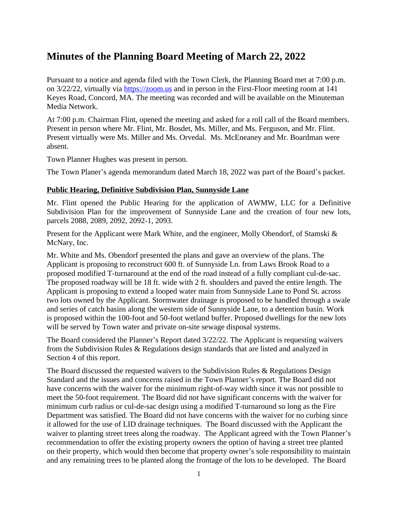# **Minutes of the Planning Board Meeting of March 22, 2022**

Pursuant to a notice and agenda filed with the Town Clerk, the Planning Board met at 7:00 p.m. on 3/22/22, virtually via <https://zoom.us>and in person in the First-Floor meeting room at 141 Keyes Road, Concord, MA. The meeting was recorded and will be available on the Minuteman Media Network.

At 7:00 p.m. Chairman Flint, opened the meeting and asked for a roll call of the Board members. Present in person where Mr. Flint, Mr. Bosdet, Ms. Miller, and Ms. Ferguson, and Mr. Flint. Present virtually were Ms. Miller and Ms. Orvedal. Ms. McEneaney and Mr. Boardman were absent.

Town Planner Hughes was present in person.

The Town Planer's agenda memorandum dated March 18, 2022 was part of the Board's packet.

### **Public Hearing, Definitive Subdivision Plan, Sunnyside Lane**

Mr. Flint opened the Public Hearing for the application of AWMW, LLC for a Definitive Subdivision Plan for the improvement of Sunnyside Lane and the creation of four new lots, parcels 2088, 2089, 2092, 2092-1, 2093.

Present for the Applicant were Mark White, and the engineer, Molly Obendorf, of Stamski & McNary, Inc.

Mr. White and Ms. Obendorf presented the plans and gave an overview of the plans. The Applicant is proposing to reconstruct 600 ft. of Sunnyside Ln. from Laws Brook Road to a proposed modified T-turnaround at the end of the road instead of a fully compliant cul-de-sac. The proposed roadway will be 18 ft. wide with 2 ft. shoulders and paved the entire length. The Applicant is proposing to extend a looped water main from Sunnyside Lane to Pond St. across two lots owned by the Applicant. Stormwater drainage is proposed to be handled through a swale and series of catch basins along the western side of Sunnyside Lane, to a detention basin. Work is proposed within the 100-foot and 50-foot wetland buffer. Proposed dwellings for the new lots will be served by Town water and private on-site sewage disposal systems.

The Board considered the Planner's Report dated 3/22/22. The Applicant is requesting waivers from the Subdivision Rules & Regulations design standards that are listed and analyzed in Section 4 of this report.

The Board discussed the requested waivers to the Subdivision Rules & Regulations Design Standard and the issues and concerns raised in the Town Planner's report. The Board did not have concerns with the waiver for the minimum right-of-way width since it was not possible to meet the 50-foot requirement. The Board did not have significant concerns with the waiver for minimum curb radius or cul-de-sac design using a modified T-turnaround so long as the Fire Department was satisfied. The Board did not have concerns with the waiver for no curbing since it allowed for the use of LID drainage techniques. The Board discussed with the Applicant the waiver to planting street trees along the roadway. The Applicant agreed with the Town Planner's recommendation to offer the existing property owners the option of having a street tree planted on their property, which would then become that property owner's sole responsibility to maintain and any remaining trees to be planted along the frontage of the lots to be developed. The Board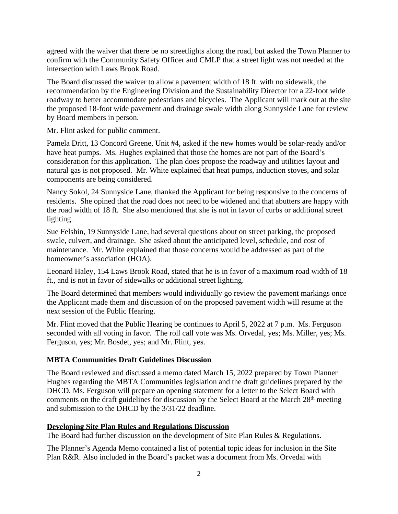agreed with the waiver that there be no streetlights along the road, but asked the Town Planner to confirm with the Community Safety Officer and CMLP that a street light was not needed at the intersection with Laws Brook Road.

The Board discussed the waiver to allow a pavement width of 18 ft. with no sidewalk, the recommendation by the Engineering Division and the Sustainability Director for a 22-foot wide roadway to better accommodate pedestrians and bicycles. The Applicant will mark out at the site the proposed 18-foot wide pavement and drainage swale width along Sunnyside Lane for review by Board members in person.

Mr. Flint asked for public comment.

Pamela Dritt, 13 Concord Greene, Unit #4, asked if the new homes would be solar-ready and/or have heat pumps. Ms. Hughes explained that those the homes are not part of the Board's consideration for this application. The plan does propose the roadway and utilities layout and natural gas is not proposed. Mr. White explained that heat pumps, induction stoves, and solar components are being considered.

Nancy Sokol, 24 Sunnyside Lane, thanked the Applicant for being responsive to the concerns of residents. She opined that the road does not need to be widened and that abutters are happy with the road width of 18 ft. She also mentioned that she is not in favor of curbs or additional street lighting.

Sue Felshin, 19 Sunnyside Lane, had several questions about on street parking, the proposed swale, culvert, and drainage. She asked about the anticipated level, schedule, and cost of maintenance. Mr. White explained that those concerns would be addressed as part of the homeowner's association (HOA).

Leonard Haley, 154 Laws Brook Road, stated that he is in favor of a maximum road width of 18 ft., and is not in favor of sidewalks or additional street lighting.

The Board determined that members would individually go review the pavement markings once the Applicant made them and discussion of on the proposed pavement width will resume at the next session of the Public Hearing.

Mr. Flint moved that the Public Hearing be continues to April 5, 2022 at 7 p.m. Ms. Ferguson seconded with all voting in favor. The roll call vote was Ms. Orvedal, yes; Ms. Miller, yes; Ms. Ferguson, yes; Mr. Bosdet, yes; and Mr. Flint, yes.

## **MBTA Communities Draft Guidelines Discussion**

The Board reviewed and discussed a memo dated March 15, 2022 prepared by Town Planner Hughes regarding the MBTA Communities legislation and the draft guidelines prepared by the DHCD. Ms. Ferguson will prepare an opening statement for a letter to the Select Board with comments on the draft guidelines for discussion by the Select Board at the March 28<sup>th</sup> meeting and submission to the DHCD by the 3/31/22 deadline.

## **Developing Site Plan Rules and Regulations Discussion**

The Board had further discussion on the development of Site Plan Rules & Regulations.

The Planner's Agenda Memo contained a list of potential topic ideas for inclusion in the Site Plan R&R. Also included in the Board's packet was a document from Ms. Orvedal with